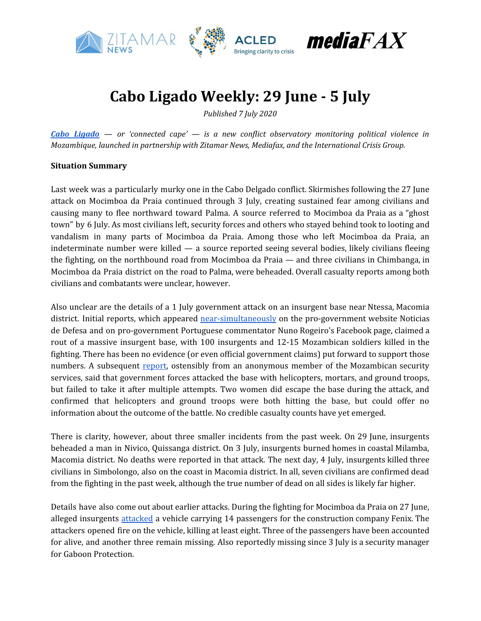

## **Cabo Ligado Weekly: 29 June - 5 July**

*Published 7 July 2020*

*Cabo [Ligado](https://acleddata.com/cabo-ligado-mozambique-conflict-observatory/) — or 'connected cape' — is a new conflict observatory monitoring political violence in Mozambique, launched in partnership with Zitamar News, Mediafax, and the International Crisis Group.*

#### **Situation Summary**

Last week was a particularly murky one in the Cabo Delgado conflict. Skirmishes following the 27 June attack on Mocimboa da Praia continued through 3 July, creating sustained fear among civilians and causing many to flee northward toward Palma. A source referred to Mocimboa da Praia as a "ghost town" by 6 July. As most civilians left, security forces and others who stayed behind took to looting and vandalism in many parts of Mocimboa da Praia. Among those who left Mocimboa da Praia, an indeterminate number were killed *—* a source reported seeing several bodies, likely civilians fleeing the fighting, on the northbound road from Mocimboa da Praia *—* and three civilians in Chimbanga, in Mocimboa da Praia district on the road to Palma, were beheaded. Overall casualty reports among both civilians and combatants were unclear, however.

Also unclear are the details of a 1 July government attack on an insurgent base near Ntessa, Macomia district. Initial reports, which appeared [near-simultaneously](https://zitamar.com/mozambique-forces-in-disputed-attack-on-insurgent-base/) on the pro-government website Noticias de Defesa and on pro-government Portuguese commentator Nuno Rogeiro's Facebook page, claimed a rout of a massive insurgent base, with 100 insurgents and 12-15 Mozambican soldiers killed in the fighting. There has been no evidence (or even official government claims) put forward to support those numbers. A subsequent [report,](https://www.facebook.com/permalink.php?story_fbid=139164567796683&id=112856803760793) ostensibly from an anonymous member of the Mozambican security services, said that government forces attacked the base with helicopters, mortars, and ground troops, but failed to take it after multiple attempts. Two women did escape the base during the attack, and confirmed that helicopters and ground troops were both hitting the base, but could offer no information about the outcome of the battle. No credible casualty counts have yet emerged.

There is clarity, however, about three smaller incidents from the past week. On 29 June, insurgents beheaded a man in Nivico, Quissanga district. On 3 July, insurgents burned homes in coastal Milamba, Macomia district. No deaths were reported in that attack. The next day, 4 July, insurgents killed three civilians in Simbolongo, also on the coast in Macomia district. In all, seven civilians are confirmed dead from the fighting in the past week, although the true number of dead on all sides is likely far higher.

Details have also come out about earlier attacks. During the fighting for Mocimboa da Praia on 27 June, alleged insurgents [attacked](https://zitamar.com/at-least-eight-dead-in-mocimboa-ambush-on-construction-workers/) a vehicle carrying 14 passengers for the construction company Fenix. The attackers opened fire on the vehicle, killing at least eight. Three of the passengers have been accounted for alive, and another three remain missing. Also reportedly missing since 3 July is a security manager for Gaboon Protection.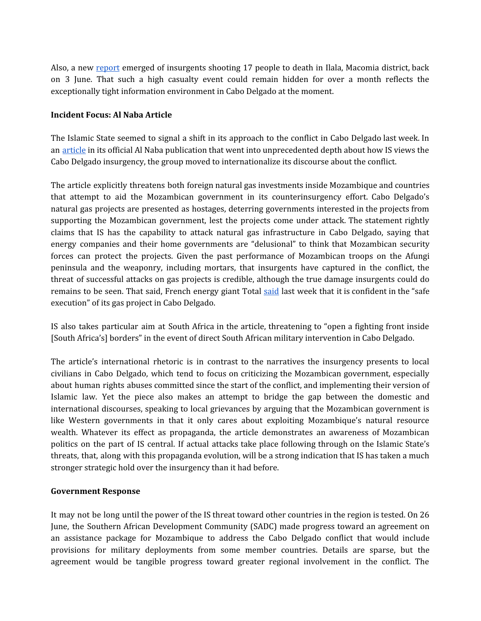Also, a new [report](https://cartamz.com/index.php/politica/item/5556-terroristas-mataram-17-pessoas-em-quiterajo) emerged of insurgents shooting 17 people to death in Ilala, Macomia district, back on 3 June. That such a high casualty event could remain hidden for over a month reflects the exceptionally tight information environment in Cabo Delgado at the moment.

### **Incident Focus: Al Naba Article**

The Islamic State seemed to signal a shift in its approach to the conflict in Cabo Delgado last week. In an [article](http://www.aymennjawad.org/2020/07/islamic-state-editorial-on-mozambique) in its official Al Naba publication that went into unprecedented depth about how IS views the Cabo Delgado insurgency, the group moved to internationalize its discourse about the conflict.

The article explicitly threatens both foreign natural gas investments inside Mozambique and countries that attempt to aid the Mozambican government in its counterinsurgency effort. Cabo Delgado's natural gas projects are presented as hostages, deterring governments interested in the projects from supporting the Mozambican government, lest the projects come under attack. The statement rightly claims that IS has the capability to attack natural gas infrastructure in Cabo Delgado, saying that energy companies and their home governments are "delusional" to think that Mozambican security forces can protect the projects. Given the past performance of Mozambican troops on the Afungi peninsula and the weaponry, including mortars, that insurgents have captured in the conflict, the threat of successful attacks on gas projects is credible, although the true damage insurgents could do remains to be seen. That [said](https://visao.sapo.pt/atualidade/economia/2020-07-03-mocambique-ataques-total-convicta-da-execucao-segura-do-projeto-de-gas-em-cabo-delgado/), French energy giant Total said last week that it is confident in the "safe" execution" of its gas project in Cabo Delgado.

IS also takes particular aim at South Africa in the article, threatening to "open a fighting front inside [South Africa's] borders" in the event of direct South African military intervention in Cabo Delgado.

The article's international rhetoric is in contrast to the narratives the insurgency presents to local civilians in Cabo Delgado, which tend to focus on criticizing the Mozambican government, especially about human rights abuses committed since the start of the conflict, and implementing their version of Islamic law. Yet the piece also makes an attempt to bridge the gap between the domestic and international discourses, speaking to local grievances by arguing that the Mozambican government is like Western governments in that it only cares about exploiting Mozambique's natural resource wealth. Whatever its effect as propaganda, the article demonstrates an awareness of Mozambican politics on the part of IS central. If actual attacks take place following through on the Islamic State's threats, that, along with this propaganda evolution, will be a strong indication that IS has taken a much stronger strategic hold over the insurgency than it had before.

### **Government Response**

It may not be long until the power of the IS threat toward other countries in the region is tested. On 26 June, the Southern African Development Community (SADC) made progress toward an agreement on an assistance package for Mozambique to address the Cabo Delgado conflict that would include provisions for military deployments from some member countries. Details are sparse, but the agreement would be tangible progress toward greater regional involvement in the conflict. The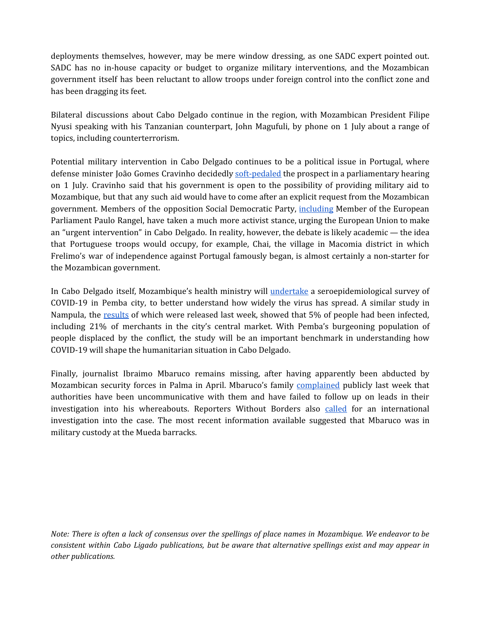deployments themselves, however, may be mere window dressing, as one SADC expert pointed out. SADC has no in-house capacity or budget to organize military interventions, and the Mozambican government itself has been reluctant to allow troops under foreign control into the conflict zone and has been dragging its feet.

Bilateral discussions about Cabo Delgado continue in the region, with Mozambican President Filipe Nyusi speaking with his Tanzanian counterpart, John Magufuli, by phone on 1 July about a range of topics, including counterterrorism.

Potential military intervention in Cabo Delgado continues to be a political issue in Portugal, where defense minister João Gomes Cravinho decidedly [soft-pedaled](https://clubofmozambique.com/news/mozambique-portugals-defence-minister-may-provide-support-if-maputo-asks-164045/) the prospect in a parliamentary hearing on 1 July. Cravinho said that his government is open to the possibility of providing military aid to Mozambique, but that any such aid would have to come after an explicit request from the Mozambican government. Members of the opposition Social Democratic Party, [including](https://noticias.sapo.mz/actualidade/artigos/mocambiqueataques-eurodeputado-portugues-paulo-rangel-reclama-intervencao-urgente-da-ue?utm_source=twitter_sharebutton&utm_medium=social&utm_campaign=social_sharebutton) Member of the European Parliament Paulo Rangel, have taken a much more activist stance, urging the European Union to make an "urgent intervention" in Cabo Delgado. In reality, however, the debate is likely academic *—* the idea that Portuguese troops would occupy, for example, Chai, the village in Macomia district in which Frelimo's war of independence against Portugal famously began, is almost certainly a non-starter for the Mozambican government.

In Cabo Delgado itself, Mozambique's health ministry will [undertake](https://clubofmozambique.com/news/mozambique-city-of-pemba-to-carry-out-seroepidemiological-survey-164908/) a seroepidemiological survey of COVID-19 in Pemba city, to better understand how widely the virus has spread. A similar study in Nampula, the [results](https://twitter.com/esamjones/status/1278611753752985600) of which were released last week, showed that 5% of people had been infected, including 21% of merchants in the city's central market. With Pemba's burgeoning population of people displaced by the conflict, the study will be an important benchmark in understanding how COVID-19 will shape the humanitarian situation in Cabo Delgado.

Finally, journalist Ibraimo Mbaruco remains missing, after having apparently been abducted by Mozambican security forces in Palma in April. Mbaruco's family [complained](https://www.voaportugues.com/a/sil%C3%AAncio-das-autoridades-de-maputo-irrita-os-familiares-do-jornalista-ibraimo-mbaruco/5484293.html?fbclid=IwAR3iPbaNLVthh_PavOoAjtmu57a-P-5BSWib3aejZ7fTKFjND3qvXyh0SZM) publicly last week that authorities have been uncommunicative with them and have failed to follow up on leads in their investigation into his whereabouts. Reporters Without Borders also [called](https://plataformamedia.com/2020/07/04/cabo-delgado-onu-instada-a-investigar-desaparecimento-de-jornalista/?fbclid=IwAR1E12RCaXYbOrbMc966jzpCMm2DNuO-kJSBOnzbXRrzeDmQXfm7w9ExcOs) for an international investigation into the case. The most recent information available suggested that Mbaruco was in military custody at the Mueda barracks.

Note: There is often a lack of consensus over the spellings of place names in Mozambique. We endeavor to be *consistent within Cabo Ligado publications, but be aware that alternative spellings exist and may appear in other publications.*